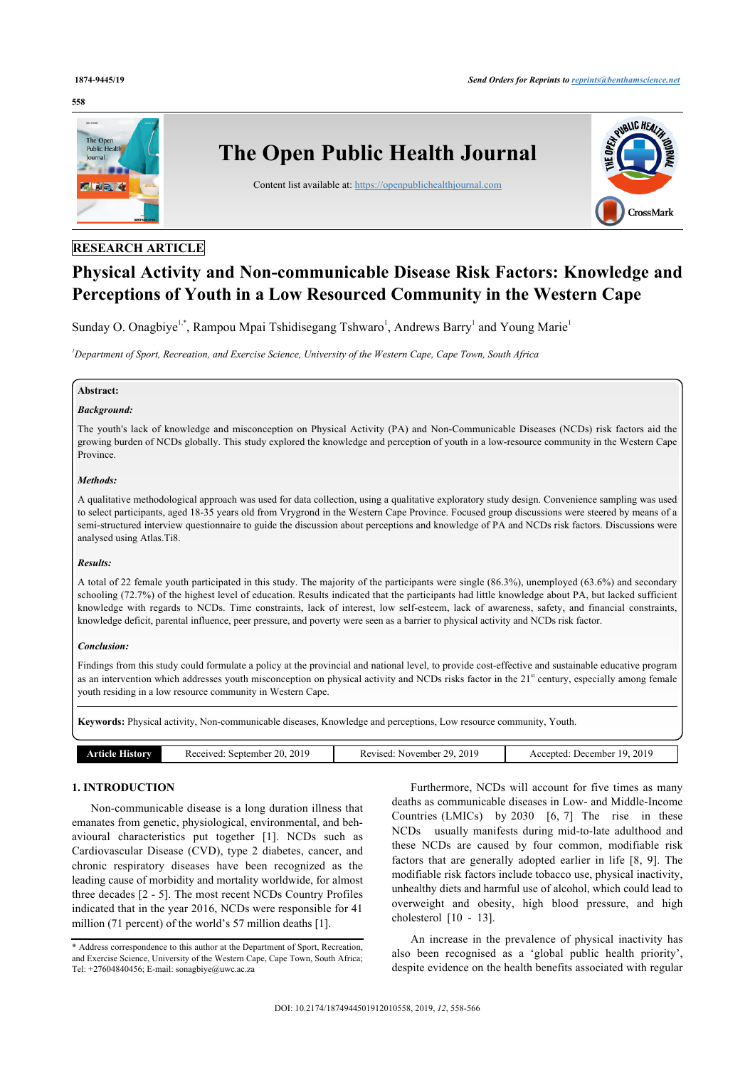#### **558**



# **RESEARCH ARTICLE**

# **Physical Activity and Non-communicable Disease Risk Factors: Knowledge and Perceptions of Youth in a Low Resourced Community in the Western Cape**

Sunday O. Onagbiye<sup>[1](#page-0-0)[,\\*](#page-0-1)</sup>, Rampou Mpai Tshidisegang Tshwaro<sup>1</sup>, Andrews Barry<sup>1</sup> and Young Marie<sup>1</sup>

<span id="page-0-0"></span>*<sup>1</sup>Department of Sport, Recreation, and Exercise Science, University of the Western Cape, Cape Town, South Africa*

#### **Abstract:**

#### *Background:*

The youth's lack of knowledge and misconception on Physical Activity (PA) and Non-Communicable Diseases (NCDs) risk factors aid the growing burden of NCDs globally. This study explored the knowledge and perception of youth in a low-resource community in the Western Cape Province.

#### *Methods:*

A qualitative methodological approach was used for data collection, using a qualitative exploratory study design. Convenience sampling was used to select participants, aged 18-35 years old from Vrygrond in the Western Cape Province. Focused group discussions were steered by means of a semi-structured interview questionnaire to guide the discussion about perceptions and knowledge of PA and NCDs risk factors. Discussions were analysed using Atlas.Ti8.

#### *Results:*

A total of 22 female youth participated in this study. The majority of the participants were single (86.3%), unemployed (63.6%) and secondary schooling (72.7%) of the highest level of education. Results indicated that the participants had little knowledge about PA, but lacked sufficient knowledge with regards to NCDs. Time constraints, lack of interest, low self-esteem, lack of awareness, safety, and financial constraints, knowledge deficit, parental influence, peer pressure, and poverty were seen as a barrier to physical activity and NCDs risk factor.

#### *Conclusion:*

Findings from this study could formulate a policy at the provincial and national level, to provide cost-effective and sustainable educative program as an intervention which addresses youth misconception on physical activity and NCDs risks factor in the  $21<sup>st</sup>$  century, especially among female youth residing in a low resource community in Western Cape.

**Keywords:** Physical activity, Non-communicable diseases, Knowledge and perceptions, Low resource community, Youth.

|--|

# **1. INTRODUCTION**

Non-communicable disease is a long duration illness that emanates from genetic, physiological, environmental, and behavioural characteristics put together [\[1\]](#page-7-0). NCDs such as Cardiovascular Disease (CVD), type 2 diabetes, cancer, and chronic respiratory diseases have been recognized as the leading cause of morbidity and mortality worldwide, for almost three decades [\[2](#page-7-1) - [5\]](#page-7-2). The most recent NCDs Country Profiles indicated that in the year 2016, NCDs were responsible for 41 million (71 percent) of the world's 57 million deaths [\[1\]](#page-7-0).

Furthermore, NCDs will account for five times as many deaths as communicable diseases in Low- and Middle-Income Countries (LMICs) by  $2030$  [\[6,](#page-7-3) [7](#page-7-4)] The rise in these NCDs usually manifests during mid-to-late adulthood and these NCDs are caused by four common, modifiable risk factors that are generally adopted earlier in life[[8](#page-7-5), [9](#page-7-6)]. The modifiable risk factors include tobacco use, physical inactivity, unhealthy diets and harmful use of alcohol, which could lead to overweight and obesity, high blood pressure, and high cholesterol[[10](#page-7-7) - [13](#page-7-8)].

An increase in the prevalence of physical inactivity has also been recognised as a 'global public health priority', despite evidence on the health benefits associated with regular

<span id="page-0-1"></span><sup>\*</sup> Address correspondence to this author at the Department of Sport, Recreation, and Exercise Science, University of the Western Cape, Cape Town, South Africa; Tel: +27604840456; E-mail: [sonagbiye@uwc.ac.za](mailto:sonagbiye@uwc.ac.za)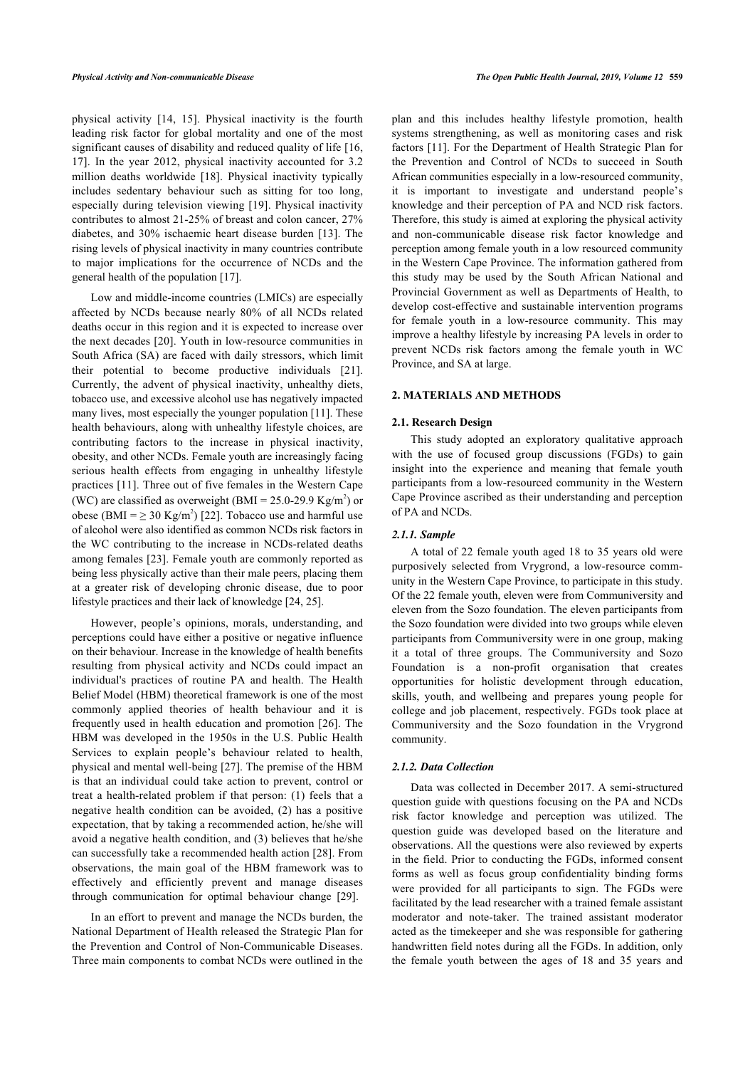physical activity [\[14](#page-7-9), [15](#page-7-10)]. Physical inactivity is the fourth leading risk factor for global mortality and one of the most significant causes of disability and reduced quality of life [[16](#page-7-11), [17\]](#page-7-12). In the year 2012, physical inactivity accounted for 3.2 million deaths worldwide [\[18](#page-7-13)]. Physical inactivity typically includes sedentary behaviour such as sitting for too long, especially during television viewing [\[19](#page-7-14)]. Physical inactivity contributes to almost 21-25% of breast and colon cancer, 27% diabetes, and 30% ischaemic heart disease burden [[13](#page-7-8)]. The rising levels of physical inactivity in many countries contribute to major implications for the occurrence of NCDs and the general health of the population [\[17](#page-7-12)].

Low and middle-income countries (LMICs) are especially affected by NCDs because nearly 80% of all NCDs related deaths occur in this region and it is expected to increase over the next decades [[20\]](#page-7-15). Youth in low-resource communities in South Africa (SA) are faced with daily stressors, which limit their potential to become productive individuals[[21\]](#page-7-16). Currently, the advent of physical inactivity, unhealthy diets, tobacco use, and excessive alcohol use has negatively impacted many lives, most especially the younger population [\[11](#page-7-17)]. These health behaviours, along with unhealthy lifestyle choices, are contributing factors to the increase in physical inactivity, obesity, and other NCDs. Female youth are increasingly facing serious health effects from engaging in unhealthy lifestyle practices [\[11\]](#page-7-17). Three out of five females in the Western Cape (WC) are classified as overweight (BMI =  $25.0$ -29.9 Kg/m<sup>2</sup>) or obese (BMI =  $\geq 30$  Kg/m<sup>2</sup>) [\[22\]](#page-7-18). Tobacco use and harmful use of alcohol were also identified as common NCDs risk factors in the WC contributing to the increase in NCDs-related deaths among females [[23\]](#page-7-19). Female youth are commonly reported as being less physically active than their male peers, placing them at a greater risk of developing chronic disease, due to poor lifestyle practices and their lack of knowledge [[24,](#page-7-20) [25](#page-7-21)].

However, people's opinions, morals, understanding, and perceptions could have either a positive or negative influence on their behaviour. Increase in the knowledge of health benefits resulting from physical activity and NCDs could impact an individual's practices of routine PA and health. The Health Belief Model (HBM) theoretical framework is one of the most commonly applied theories of health behaviour and it is frequently used in health education and promotion [\[26](#page-7-22)]. The HBM was developed in the 1950s in the U.S. Public Health Services to explain people's behaviour related to health, physical and mental well-being [\[27](#page-7-23)]. The premise of the HBM is that an individual could take action to prevent, control or treat a health-related problem if that person: (1) feels that a negative health condition can be avoided, (2) has a positive expectation, that by taking a recommended action, he/she will avoid a negative health condition, and (3) believes that he/she can successfully take a recommended health action [[28\]](#page-7-24). From observations, the main goal of the HBM framework was to effectively and efficiently prevent and manage diseases through communication for optimal behaviour change[[29\]](#page-7-25).

In an effort to prevent and manage the NCDs burden, the National Department of Health released the Strategic Plan for the Prevention and Control of Non-Communicable Diseases. Three main components to combat NCDs were outlined in the

plan and this includes healthy lifestyle promotion, health systems strengthening, as well as monitoring cases and risk factors [\[11](#page-7-17)]. For the Department of Health Strategic Plan for the Prevention and Control of NCDs to succeed in South African communities especially in a low-resourced community, it is important to investigate and understand people's knowledge and their perception of PA and NCD risk factors. Therefore, this study is aimed at exploring the physical activity and non-communicable disease risk factor knowledge and perception among female youth in a low resourced community in the Western Cape Province. The information gathered from this study may be used by the South African National and Provincial Government as well as Departments of Health, to develop cost-effective and sustainable intervention programs for female youth in a low-resource community. This may improve a healthy lifestyle by increasing PA levels in order to prevent NCDs risk factors among the female youth in WC Province, and SA at large.

## **2. MATERIALS AND METHODS**

#### **2.1. Research Design**

This study adopted an exploratory qualitative approach with the use of focused group discussions (FGDs) to gain insight into the experience and meaning that female youth participants from a low-resourced community in the Western Cape Province ascribed as their understanding and perception of PA and NCDs.

### *2.1.1. Sample*

A total of 22 female youth aged 18 to 35 years old were purposively selected from Vrygrond, a low-resource community in the Western Cape Province, to participate in this study. Of the 22 female youth, eleven were from Communiversity and eleven from the Sozo foundation. The eleven participants from the Sozo foundation were divided into two groups while eleven participants from Communiversity were in one group, making it a total of three groups. The Communiversity and Sozo Foundation is a non-profit organisation that creates opportunities for holistic development through education, skills, youth, and wellbeing and prepares young people for college and job placement, respectively. FGDs took place at Communiversity and the Sozo foundation in the Vrygrond community.

#### *2.1.2. Data Collection*

Data was collected in December 2017. A semi-structured question guide with questions focusing on the PA and NCDs risk factor knowledge and perception was utilized. The question guide was developed based on the literature and observations. All the questions were also reviewed by experts in the field. Prior to conducting the FGDs, informed consent forms as well as focus group confidentiality binding forms were provided for all participants to sign. The FGDs were facilitated by the lead researcher with a trained female assistant moderator and note-taker. The trained assistant moderator acted as the timekeeper and she was responsible for gathering handwritten field notes during all the FGDs. In addition, only the female youth between the ages of 18 and 35 years and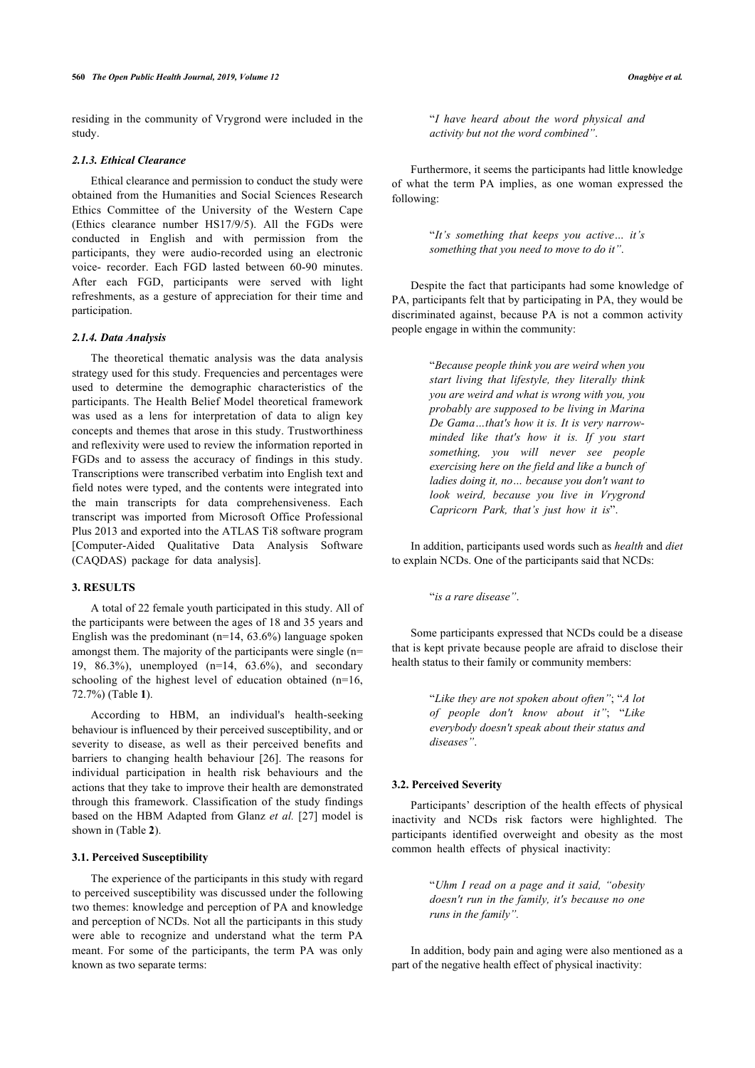residing in the community of Vrygrond were included in the study.

#### *2.1.3. Ethical Clearance*

Ethical clearance and permission to conduct the study were obtained from the Humanities and Social Sciences Research Ethics Committee of the University of the Western Cape (Ethics clearance number HS17/9/5). All the FGDs were conducted in English and with permission from the participants, they were audio-recorded using an electronic voice- recorder. Each FGD lasted between 60-90 minutes. After each FGD, participants were served with light refreshments, as a gesture of appreciation for their time and participation.

#### *2.1.4. Data Analysis*

The theoretical thematic analysis was the data analysis strategy used for this study. Frequencies and percentages were used to determine the demographic characteristics of the participants. The Health Belief Model theoretical framework was used as a lens for interpretation of data to align key concepts and themes that arose in this study. Trustworthiness and reflexivity were used to review the information reported in FGDs and to assess the accuracy of findings in this study. Transcriptions were transcribed verbatim into English text and field notes were typed, and the contents were integrated into the main transcripts for data comprehensiveness. Each transcript was imported from Microsoft Office Professional Plus 2013 and exported into the ATLAS Ti8 software program [Computer-Aided Qualitative Data Analysis Software (CAQDAS) package for data analysis].

#### **3. RESULTS**

A total of 22 female youth participated in this study. All of the participants were between the ages of 18 and 35 years and English was the predominant  $(n=14, 63.6%)$  language spoken amongst them. The majority of the participants were single (n= 19, 86.3%), unemployed (n=14, 63.6%), and secondary schooling of the highest level of education obtained (n=16, 72.7%) (Table **[1](#page-4-0)**).

According to HBM, an individual's health-seeking behaviour is influenced by their perceived susceptibility, and or severity to disease, as well as their perceived benefits and barriers to changing health behaviour[[26\]](#page-7-22). The reasons for individual participation in health risk behaviours and the actions that they take to improve their health are demonstrated through this framework. Classification of the study findings based on the HBM Adapted from Glanz *et al.* [\[27\]](#page-7-23) model is shown in (Table **[2](#page-4-1)**).

#### **3.1. Perceived Susceptibility**

The experience of the participants in this study with regard to perceived susceptibility was discussed under the following two themes: knowledge and perception of PA and knowledge and perception of NCDs. Not all the participants in this study were able to recognize and understand what the term PA meant. For some of the participants, the term PA was only known as two separate terms:

"*I have heard about the word physical and activity but not the word combined"*.

Furthermore, it seems the participants had little knowledge of what the term PA implies, as one woman expressed the following:

> "*It's something that keeps you active… it's something that you need to move to do it"*.

Despite the fact that participants had some knowledge of PA, participants felt that by participating in PA, they would be discriminated against, because PA is not a common activity people engage in within the community:

> "*Because people think you are weird when you start living that lifestyle, they literally think you are weird and what is wrong with you, you probably are supposed to be living in Marina De Gama…that's how it is. It is very narrowminded like that's how it is. If you start something, you will never see people exercising here on the field and like a bunch of ladies doing it, no… because you don't want to look weird, because you live in Vrygrond Capricorn Park, that's just how it is*".

In addition, participants used words such as *health* and *diet* to explain NCDs. One of the participants said that NCDs:

"*is a rare disease"*.

Some participants expressed that NCDs could be a disease that is kept private because people are afraid to disclose their health status to their family or community members:

> "*Like they are not spoken about often"*; "*A lot of people don't know about it"*; "*Like everybody doesn't speak about their status and diseases"*.

#### **3.2. Perceived Severity**

Participants' description of the health effects of physical inactivity and NCDs risk factors were highlighted. The participants identified overweight and obesity as the most common health effects of physical inactivity:

> "*Uhm I read on a page and it said, "obesity doesn't run in the family, it's because no one runs in the family".*

In addition, body pain and aging were also mentioned as a part of the negative health effect of physical inactivity: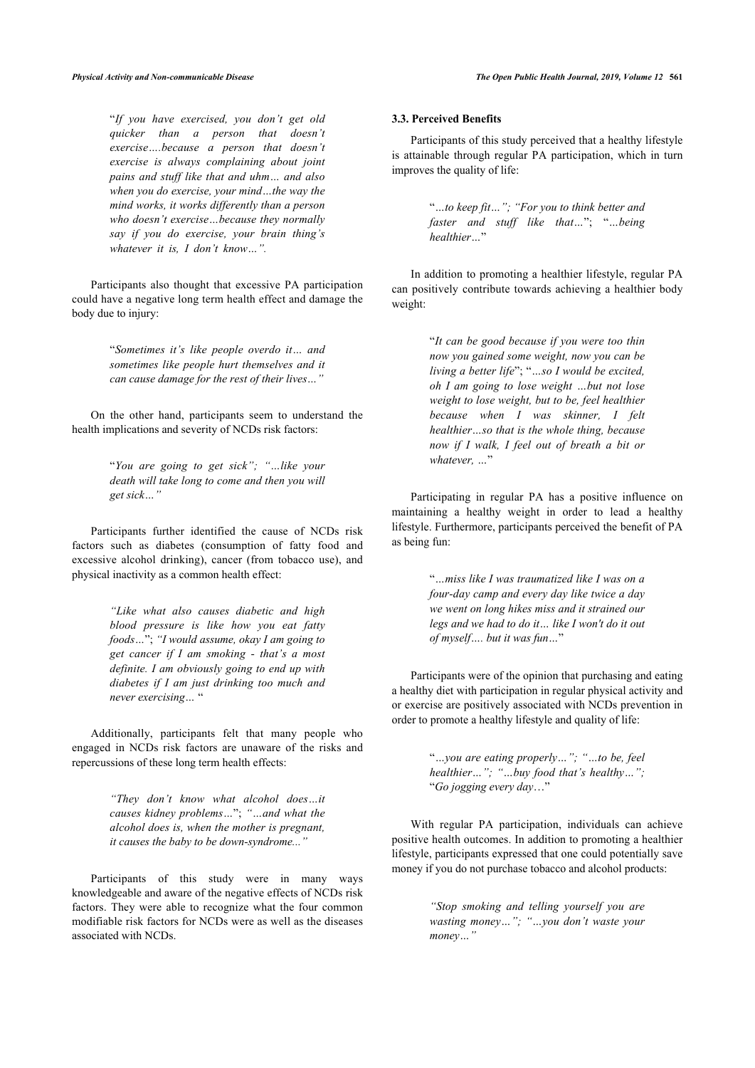"*If you have exercised, you don't get old quicker than a person that doesn't exercise….because a person that doesn't exercise is always complaining about joint pains and stuff like that and uhm… and also when you do exercise, your mind…the way the mind works, it works differently than a person who doesn't exercise…because they normally say if you do exercise, your brain thing's whatever it is, I don't know…".*

Participants also thought that excessive PA participation could have a negative long term health effect and damage the body due to injury:

> "*Sometimes it's like people overdo it… and sometimes like people hurt themselves and it can cause damage for the rest of their lives…"*

On the other hand, participants seem to understand the health implications and severity of NCDs risk factors:

> "*You are going to get sick"; "…like your death will take long to come and then you will get sick…"*

Participants further identified the cause of NCDs risk factors such as diabetes (consumption of fatty food and excessive alcohol drinking), cancer (from tobacco use), and physical inactivity as a common health effect:

> *"Like what also causes diabetic and high blood pressure is like how you eat fatty foods…*"; *"I would assume, okay I am going to get cancer if I am smoking - that's a most definite. I am obviously going to end up with diabetes if I am just drinking too much and never exercising…* "

Additionally, participants felt that many people who engaged in NCDs risk factors are unaware of the risks and repercussions of these long term health effects:

> *"They don't know what alcohol does…it causes kidney problems…*"; *"…and what the alcohol does is, when the mother is pregnant, it causes the baby to be down-syndrome..."*

Participants of this study were in many ways knowledgeable and aware of the negative effects of NCDs risk factors. They were able to recognize what the four common modifiable risk factors for NCDs were as well as the diseases associated with NCDs.

### **3.3. Perceived Benefits**

Participants of this study perceived that a healthy lifestyle is attainable through regular PA participation, which in turn improves the quality of life:

> "*…to keep fit…"; "For you to think better and faster and stuff like that…*"; "*…being healthier…*"

In addition to promoting a healthier lifestyle, regular PA can positively contribute towards achieving a healthier body weight:

> "*It can be good because if you were too thin now you gained some weight, now you can be living a better life*"; "*…so I would be excited, oh I am going to lose weight …but not lose weight to lose weight, but to be, feel healthier because when I was skinner, I felt healthier…so that is the whole thing, because now if I walk, I feel out of breath a bit or whatever, …*"

Participating in regular PA has a positive influence on maintaining a healthy weight in order to lead a healthy lifestyle. Furthermore, participants perceived the benefit of PA as being fun:

> "*…miss like I was traumatized like I was on a four-day camp and every day like twice a day we went on long hikes miss and it strained our legs and we had to do it… like I won't do it out of myself…. but it was fun…*"

Participants were of the opinion that purchasing and eating a healthy diet with participation in regular physical activity and or exercise are positively associated with NCDs prevention in order to promote a healthy lifestyle and quality of life:

> "*…you are eating properly…"; "…to be, feel healthier…"; "…buy food that's healthy…";* "*Go jogging every day*…"

With regular PA participation, individuals can achieve positive health outcomes. In addition to promoting a healthier lifestyle, participants expressed that one could potentially save money if you do not purchase tobacco and alcohol products:

> *"Stop smoking and telling yourself you are wasting money…"; "…you don't waste your money…"*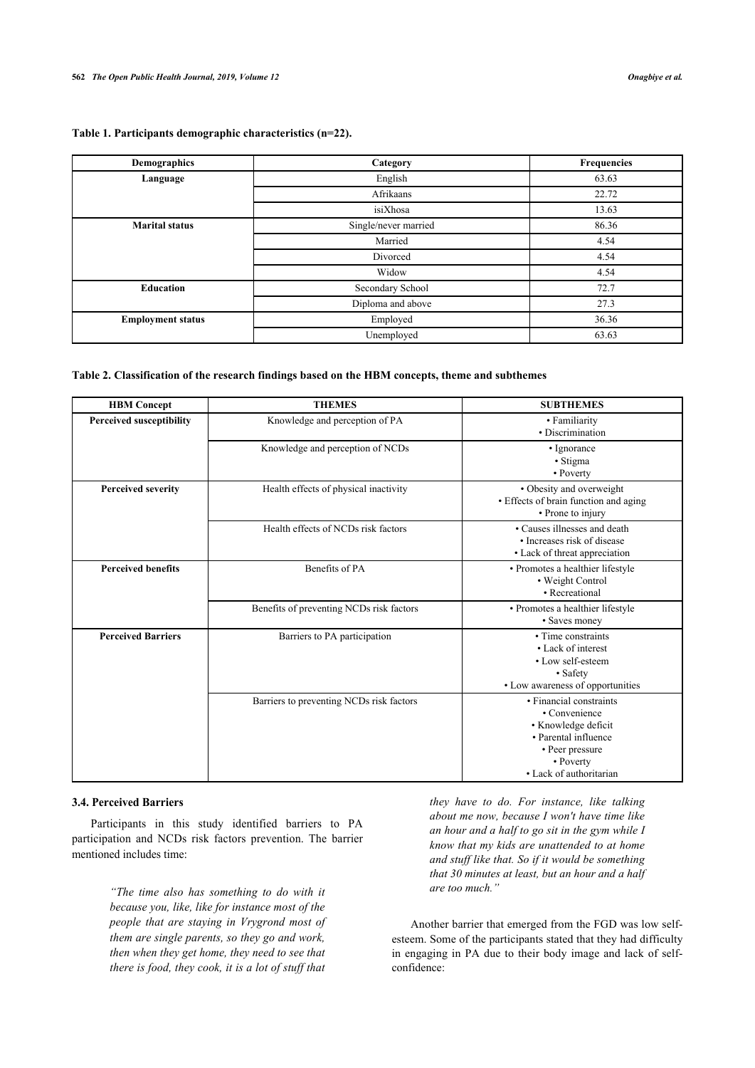<span id="page-4-0"></span>

| Table 1. Participants demographic characteristics (n=22). |  |
|-----------------------------------------------------------|--|
|-----------------------------------------------------------|--|

| Demographics             | Category             | Frequencies |
|--------------------------|----------------------|-------------|
| Language                 | English              | 63.63       |
|                          | Afrikaans            | 22.72       |
|                          | isiXhosa             | 13.63       |
| <b>Marital status</b>    | Single/never married | 86.36       |
|                          | Married              | 4.54        |
|                          | Divorced             | 4.54        |
|                          | Widow                | 4.54        |
| <b>Education</b>         | Secondary School     | 72.7        |
|                          | Diploma and above    | 27.3        |
| <b>Employment status</b> | Employed             | 36.36       |
|                          | Unemployed           | 63.63       |

#### <span id="page-4-1"></span>**Table 2. Classification of the research findings based on the HBM concepts, theme and subthemes**

| <b>HBM</b> Concept              | <b>THEMES</b>                            | <b>SUBTHEMES</b>                                                                                                                                   |
|---------------------------------|------------------------------------------|----------------------------------------------------------------------------------------------------------------------------------------------------|
| <b>Perceived susceptibility</b> | Knowledge and perception of PA           | • Familiarity<br>• Discrimination                                                                                                                  |
|                                 | Knowledge and perception of NCDs         | • Ignorance<br>• Stigma<br>• Poverty                                                                                                               |
| <b>Perceived severity</b>       | Health effects of physical inactivity    | • Obesity and overweight<br>• Effects of brain function and aging<br>• Prone to injury                                                             |
|                                 | Health effects of NCDs risk factors      | • Causes illnesses and death<br>• Increases risk of disease<br>• Lack of threat appreciation                                                       |
| <b>Perceived benefits</b>       | Benefits of PA                           | • Promotes a healthier lifestyle<br>• Weight Control<br>• Recreational                                                                             |
|                                 | Benefits of preventing NCDs risk factors | • Promotes a healthier lifestyle<br>• Saves money                                                                                                  |
| <b>Perceived Barriers</b>       | Barriers to PA participation             | • Time constraints<br>• Lack of interest<br>• Low self-esteem<br>• Safety<br>• Low awareness of opportunities                                      |
|                                 | Barriers to preventing NCDs risk factors | • Financial constraints<br>• Convenience<br>• Knowledge deficit<br>• Parental influence<br>• Peer pressure<br>• Poverty<br>• Lack of authoritarian |

# **3.4. Perceived Barriers**

Participants in this study identified barriers to PA participation and NCDs risk factors prevention. The barrier mentioned includes time:

> *"The time also has something to do with it because you, like, like for instance most of the people that are staying in Vrygrond most of them are single parents, so they go and work, then when they get home, they need to see that there is food, they cook, it is a lot of stuff that*

*they have to do. For instance, like talking about me now, because I won't have time like an hour and a half to go sit in the gym while I know that my kids are unattended to at home and stuff like that. So if it would be something that 30 minutes at least, but an hour and a half are too much."*

Another barrier that emerged from the FGD was low selfesteem. Some of the participants stated that they had difficulty in engaging in PA due to their body image and lack of selfconfidence: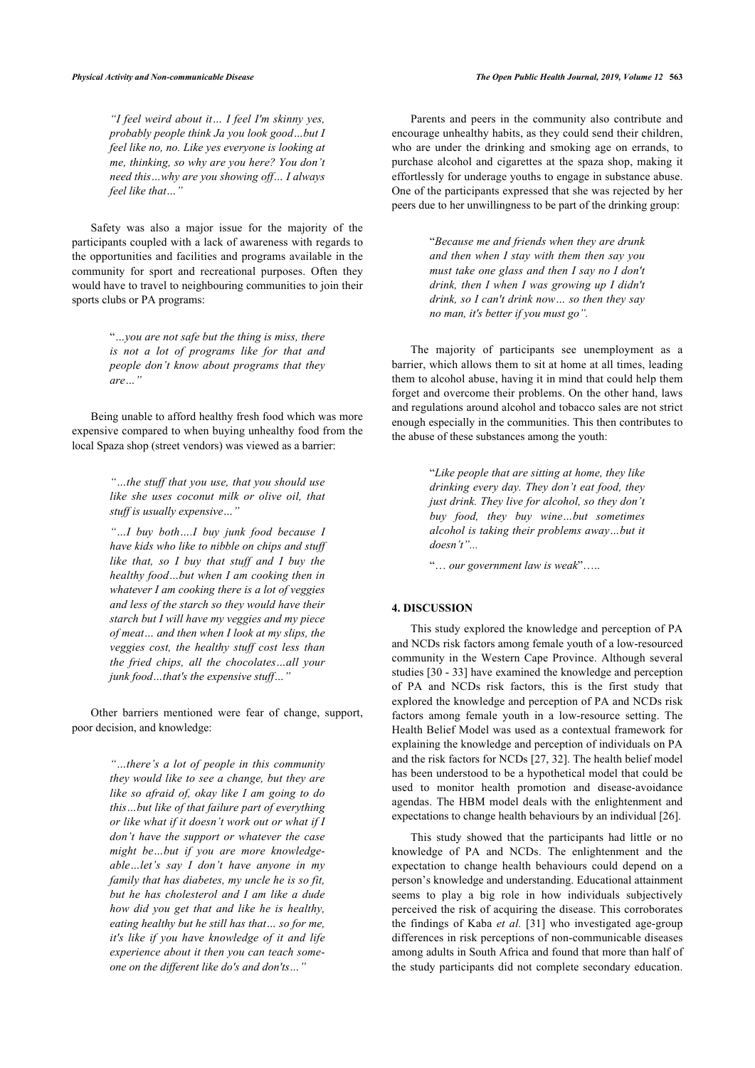*"I feel weird about it… I feel I'm skinny yes, probably people think Ja you look good…but I feel like no, no. Like yes everyone is looking at me, thinking, so why are you here? You don't need this…why are you showing off… I always feel like that…"*

Safety was also a major issue for the majority of the participants coupled with a lack of awareness with regards to the opportunities and facilities and programs available in the community for sport and recreational purposes. Often they would have to travel to neighbouring communities to join their sports clubs or PA programs:

> "*…you are not safe but the thing is miss, there is not a lot of programs like for that and people don't know about programs that they are…"*

Being unable to afford healthy fresh food which was more expensive compared to when buying unhealthy food from the local Spaza shop (street vendors) was viewed as a barrier:

> *"…the stuff that you use, that you should use like she uses coconut milk or olive oil, that stuff is usually expensive…"*

> *"…I buy both….I buy junk food because I have kids who like to nibble on chips and stuff like that, so I buy that stuff and I buy the healthy food…but when I am cooking then in whatever I am cooking there is a lot of veggies and less of the starch so they would have their starch but I will have my veggies and my piece of meat… and then when I look at my slips, the veggies cost, the healthy stuff cost less than the fried chips, all the chocolates…all your junk food…that's the expensive stuff…"*

Other barriers mentioned were fear of change, support, poor decision, and knowledge:

> *"…there's a lot of people in this community they would like to see a change, but they are like so afraid of, okay like I am going to do this…but like of that failure part of everything or like what if it doesn't work out or what if I don't have the support or whatever the case might be…but if you are more knowledgeable…let's say I don't have anyone in my family that has diabetes, my uncle he is so fit, but he has cholesterol and I am like a dude how did you get that and like he is healthy, eating healthy but he still has that… so for me, it's like if you have knowledge of it and life experience about it then you can teach someone on the different like do's and don'ts…"*

Parents and peers in the community also contribute and encourage unhealthy habits, as they could send their children, who are under the drinking and smoking age on errands, to purchase alcohol and cigarettes at the spaza shop, making it effortlessly for underage youths to engage in substance abuse. One of the participants expressed that she was rejected by her peers due to her unwillingness to be part of the drinking group:

> "*Because me and friends when they are drunk and then when I stay with them then say you must take one glass and then I say no I don't drink, then I when I was growing up I didn't drink, so I can't drink now… so then they say no man, it's better if you must go".*

The majority of participants see unemployment as a barrier, which allows them to sit at home at all times, leading them to alcohol abuse, having it in mind that could help them forget and overcome their problems. On the other hand, laws and regulations around alcohol and tobacco sales are not strict enough especially in the communities. This then contributes to the abuse of these substances among the youth:

> "*Like people that are sitting at home, they like drinking every day. They don't eat food, they just drink. They live for alcohol, so they don't buy food, they buy wine…but sometimes alcohol is taking their problems away…but it doesn't"...*

"… *our government law is weak*"…..

#### **4. DISCUSSION**

This study explored the knowledge and perception of PA and NCDs risk factors among female youth of a low-resourced community in the Western Cape Province. Although several studies [[30](#page-7-26) - [33\]](#page-7-27) have examined the knowledge and perception of PA and NCDs risk factors, this is the first study that explored the knowledge and perception of PA and NCDs risk factors among female youth in a low-resource setting. The Health Belief Model was used as a contextual framework for explaining the knowledge and perception of individuals on PA and the risk factors for NCDs [[27,](#page-7-23) [32](#page-7-28)]. The health belief model has been understood to be a hypothetical model that could be used to monitor health promotion and disease-avoidance agendas. The HBM model deals with the enlightenment and expectations to change health behaviours by an individual [[26\]](#page-7-22).

This study showed that the participants had little or no knowledge of PA and NCDs. The enlightenment and the expectation to change health behaviours could depend on a person's knowledge and understanding. Educational attainment seems to play a big role in how individuals subjectively perceived the risk of acquiring the disease. This corroborates the findings of Kaba *et al.* [[31](#page-7-29)] who investigated age-group differences in risk perceptions of non-communicable diseases among adults in South Africa and found that more than half of the study participants did not complete secondary education.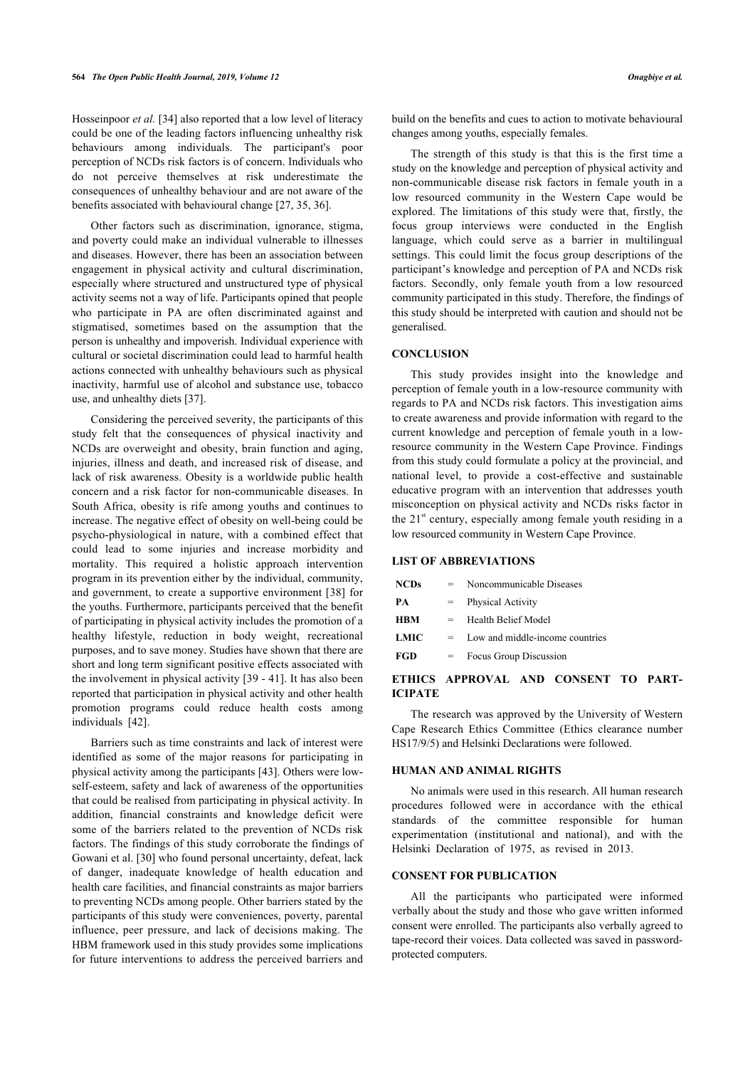Hosseinpoor *et al.* [\[34](#page-7-30)] also reported that a low level of literacy could be one of the leading factors influencing unhealthy risk behaviours among individuals. The participant's poor perception of NCDs risk factors is of concern. Individuals who do not perceive themselves at risk underestimate the consequences of unhealthy behaviour and are not aware of the benefits associated with behavioural change [\[27](#page-7-23), [35,](#page-7-31) [36](#page-8-0)].

Other factors such as discrimination, ignorance, stigma, and poverty could make an individual vulnerable to illnesses and diseases. However, there has been an association between engagement in physical activity and cultural discrimination, especially where structured and unstructured type of physical activity seems not a way of life. Participants opined that people who participate in PA are often discriminated against and stigmatised, sometimes based on the assumption that the person is unhealthy and impoverish. Individual experience with cultural or societal discrimination could lead to harmful health actions connected with unhealthy behaviours such as physical inactivity, harmful use of alcohol and substance use, tobacco use, and unhealthy diets [\[37](#page-8-1)].

Considering the perceived severity, the participants of this study felt that the consequences of physical inactivity and NCDs are overweight and obesity, brain function and aging, injuries, illness and death, and increased risk of disease, and lack of risk awareness. Obesity is a worldwide public health concern and a risk factor for non-communicable diseases. In South Africa, obesity is rife among youths and continues to increase. The negative effect of obesity on well-being could be psycho-physiological in nature, with a combined effect that could lead to some injuries and increase morbidity and mortality. This required a holistic approach intervention program in its prevention either by the individual, community, and government, to create a supportive environment [\[38](#page-8-2)] for the youths. Furthermore, participants perceived that the benefit of participating in physical activity includes the promotion of a healthy lifestyle, reduction in body weight, recreational purposes, and to save money. Studies have shown that there are short and long term significant positive effects associated with the involvement in physical activity [[39](#page-8-3) - [41](#page-8-4)]. It has also been reported that participation in physical activity and other health promotion programs could reduce health costs among individuals[[42\]](#page-8-5).

Barriers such as time constraints and lack of interest were identified as some of the major reasons for participating in physical activity among the participants [[43\]](#page-8-6). Others were lowself-esteem, safety and lack of awareness of the opportunities that could be realised from participating in physical activity. In addition, financial constraints and knowledge deficit were some of the barriers related to the prevention of NCDs risk factors. The findings of this study corroborate the findings of Gowani et al. [[30\]](#page-7-26) who found personal uncertainty, defeat, lack of danger, inadequate knowledge of health education and health care facilities, and financial constraints as major barriers to preventing NCDs among people. Other barriers stated by the participants of this study were conveniences, poverty, parental influence, peer pressure, and lack of decisions making. The HBM framework used in this study provides some implications for future interventions to address the perceived barriers and

build on the benefits and cues to action to motivate behavioural changes among youths, especially females.

The strength of this study is that this is the first time a study on the knowledge and perception of physical activity and non-communicable disease risk factors in female youth in a low resourced community in the Western Cape would be explored. The limitations of this study were that, firstly, the focus group interviews were conducted in the English language, which could serve as a barrier in multilingual settings. This could limit the focus group descriptions of the participant's knowledge and perception of PA and NCDs risk factors. Secondly, only female youth from a low resourced community participated in this study. Therefore, the findings of this study should be interpreted with caution and should not be generalised.

# **CONCLUSION**

This study provides insight into the knowledge and perception of female youth in a low-resource community with regards to PA and NCDs risk factors. This investigation aims to create awareness and provide information with regard to the current knowledge and perception of female youth in a lowresource community in the Western Cape Province. Findings from this study could formulate a policy at the provincial, and national level, to provide a cost-effective and sustainable educative program with an intervention that addresses youth misconception on physical activity and NCDs risks factor in the  $21<sup>st</sup>$  century, especially among female youth residing in a low resourced community in Western Cape Province.

#### **LIST OF ABBREVIATIONS**

| <b>NCDs</b> | $=$ | Noncommunicable Diseases        |
|-------------|-----|---------------------------------|
| PА          | $=$ | Physical Activity               |
| <b>HBM</b>  | =   | Health Belief Model             |
| LMIC        | $=$ | Low and middle-income countries |
| <b>FGD</b>  | $=$ | Focus Group Discussion          |
|             |     |                                 |

# **ETHICS APPROVAL AND CONSENT TO PART-ICIPATE**

The research was approved by the University of Western Cape Research Ethics Committee (Ethics clearance number HS17/9/5) and Helsinki Declarations were followed.

# **HUMAN AND ANIMAL RIGHTS**

No animals were used in this research. All human research procedures followed were in accordance with the ethical standards of the committee responsible for human experimentation (institutional and national), and with the Helsinki Declaration of 1975, as revised in 2013.

#### **CONSENT FOR PUBLICATION**

All the participants who participated were informed verbally about the study and those who gave written informed consent were enrolled. The participants also verbally agreed to tape-record their voices. Data collected was saved in passwordprotected computers.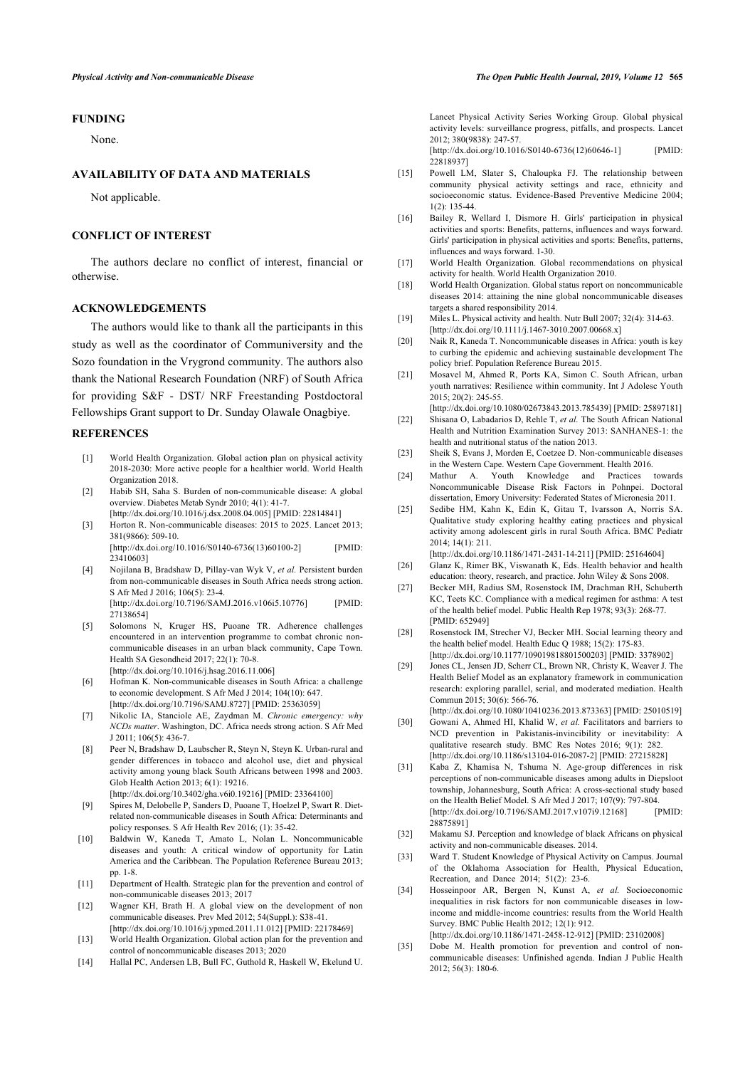### **FUNDING**

None.

#### <span id="page-7-10"></span>**AVAILABILITY OF DATA AND MATERIALS**

Not applicable.

#### <span id="page-7-11"></span>**CONFLICT OF INTEREST**

<span id="page-7-13"></span><span id="page-7-12"></span>The authors declare no conflict of interest, financial or otherwise.

#### **ACKNOWLEDGEMENTS**

<span id="page-7-16"></span><span id="page-7-15"></span><span id="page-7-14"></span>The authors would like to thank all the participants in this study as well as the coordinator of Communiversity and the Sozo foundation in the Vrygrond community. The authors also thank the National Research Foundation (NRF) of South Africa for providing S&F - DST/ NRF Freestanding Postdoctoral Fellowships Grant support to Dr. Sunday Olawale Onagbiye.

#### <span id="page-7-20"></span><span id="page-7-19"></span><span id="page-7-18"></span><span id="page-7-0"></span>**REFERENCES**

- [1] World Health Organization. Global action plan on physical activity 2018-2030: More active people for a healthier world. World Health Organization 2018.
- <span id="page-7-1"></span>[2] Habib SH, Saha S. Burden of non-communicable disease: A global overview. Diabetes Metab Syndr 2010; 4(1): 41-7. [\[http://dx.doi.org/10.1016/j.dsx.2008.04.005](http://dx.doi.org/10.1016/j.dsx.2008.04.005)] [PMID: [22814841\]](http://www.ncbi.nlm.nih.gov/pubmed/22814841)
- <span id="page-7-21"></span>[3] Horton R. Non-communicable diseases: 2015 to 2025. Lancet 2013; 381(9866): 509-10. [\[http://dx.doi.org/10.1016/S0140-6736\(13\)60100-2](http://dx.doi.org/10.1016/S0140-6736(13)60100-2)] [PMID: [23410603\]](http://www.ncbi.nlm.nih.gov/pubmed/23410603)
- <span id="page-7-23"></span><span id="page-7-22"></span>[4] Nojilana B, Bradshaw D, Pillay-van Wyk V, *et al.* Persistent burden from non-communicable diseases in South Africa needs strong action. S Afr Med J 2016; 106(5): 23-4. [\[http://dx.doi.org/10.7196/SAMJ.2016.v106i5.10776](http://dx.doi.org/10.7196/SAMJ.2016.v106i5.10776)] [PMID: [27138654\]](http://www.ncbi.nlm.nih.gov/pubmed/27138654)
- <span id="page-7-24"></span><span id="page-7-2"></span>[5] Solomons N, Kruger HS, Puoane TR. Adherence challenges encountered in an intervention programme to combat chronic noncommunicable diseases in an urban black community, Cape Town. Health SA Gesondheid 2017; 22(1): 70-8. [\[http://dx.doi.org/10.1016/j.hsag.2016.11.006](http://dx.doi.org/10.1016/j.hsag.2016.11.006)]
- <span id="page-7-25"></span><span id="page-7-3"></span>[6] Hofman K. Non-communicable diseases in South Africa: a challenge to economic development. S Afr Med J 2014; 104(10): 647. [\[http://dx.doi.org/10.7196/SAMJ.8727\]](http://dx.doi.org/10.7196/SAMJ.8727) [PMID: [25363059](http://www.ncbi.nlm.nih.gov/pubmed/25363059)]
- <span id="page-7-26"></span><span id="page-7-4"></span>[7] Nikolic IA, Stanciole AE, Zaydman M. *Chronic emergency: why NCDs matter*. Washington, DC. Africa needs strong action. S Afr Med J 2011; 106(5): 436-7.
- <span id="page-7-29"></span><span id="page-7-5"></span>[8] Peer N, Bradshaw D, Laubscher R, Steyn N, Steyn K. Urban-rural and gender differences in tobacco and alcohol use, diet and physical activity among young black South Africans between 1998 and 2003. Glob Health Action 2013; 6(1): 19216. [\[http://dx.doi.org/10.3402/gha.v6i0.19216\]](http://dx.doi.org/10.3402/gha.v6i0.19216) [PMID: [23364100](http://www.ncbi.nlm.nih.gov/pubmed/23364100)]
- <span id="page-7-6"></span>[9] Spires M, Delobelle P, Sanders D, Puoane T, Hoelzel P, Swart R. Dietrelated non-communicable diseases in South Africa: Determinants and policy responses. S Afr Health Rev 2016; (1): 35-42.
- <span id="page-7-28"></span><span id="page-7-27"></span><span id="page-7-7"></span>[10] Baldwin W, Kaneda T, Amato L, Nolan L. Noncommunicable diseases and youth: A critical window of opportunity for Latin America and the Caribbean. The Population Reference Bureau 2013; pp. 1-8.
- <span id="page-7-30"></span><span id="page-7-17"></span>[11] Department of Health. Strategic plan for the prevention and control of non-communicable diseases 2013; 2017
- [12] Wagner KH, Brath H. A global view on the development of non communicable diseases. Prev Med 2012; 54(Suppl.): S38-41. [\[http://dx.doi.org/10.1016/j.ypmed.2011.11.012\]](http://dx.doi.org/10.1016/j.ypmed.2011.11.012) [PMID: [22178469](http://www.ncbi.nlm.nih.gov/pubmed/22178469)]
- <span id="page-7-31"></span><span id="page-7-8"></span>[13] World Health Organization. Global action plan for the prevention and control of noncommunicable diseases 2013; 2020
- <span id="page-7-9"></span>[14] Hallal PC, Andersen LB, Bull FC, Guthold R, Haskell W, Ekelund U.

Lancet Physical Activity Series Working Group. Global physical activity levels: surveillance progress, pitfalls, and prospects. Lancet 2012; 380(9838): 247-57.

[\[http://dx.doi.org/10.1016/S0140-6736\(12\)60646-1](http://dx.doi.org/10.1016/S0140-6736(12)60646-1)] [PMID: [22818937\]](http://www.ncbi.nlm.nih.gov/pubmed/22818937)

- [15] Powell LM, Slater S, Chaloupka FJ. The relationship between community physical activity settings and race, ethnicity and socioeconomic status. Evidence-Based Preventive Medicine 2004; 1(2): 135-44.
- [16] Bailey R, Wellard I, Dismore H. Girls' participation in physical activities and sports: Benefits, patterns, influences and ways forward. Girls' participation in physical activities and sports: Benefits, patterns, influences and ways forward. 1-30.
- [17] World Health Organization. Global recommendations on physical activity for health. World Health Organization 2010.
- [18] World Health Organization. Global status report on noncommunicable diseases 2014: attaining the nine global noncommunicable diseases targets a shared responsibility 2014.
- [19] Miles L. Physical activity and health. Nutr Bull 2007; 32(4): 314-63. [\[http://dx.doi.org/10.1111/j.1467-3010.2007.00668.x\]](http://dx.doi.org/10.1111/j.1467-3010.2007.00668.x)
- [20] Naik R, Kaneda T. Noncommunicable diseases in Africa: youth is key to curbing the epidemic and achieving sustainable development The policy brief. Population Reference Bureau 2015.
- [21] Mosavel M, Ahmed R, Ports KA, Simon C. South African, urban youth narratives: Resilience within community. Int J Adolesc Youth 2015; 20(2): 245-55.

[\[http://dx.doi.org/10.1080/02673843.2013.785439\]](http://dx.doi.org/10.1080/02673843.2013.785439) [PMID: [25897181\]](http://www.ncbi.nlm.nih.gov/pubmed/25897181) [22] Shisana O, Labadarios D, Rehle T, *et al.* The South African National

- Health and Nutrition Examination Survey 2013: SANHANES-1: the health and nutritional status of the nation 2013. [23] Sheik S, Evans J, Morden E, Coetzee D. Non-communicable diseases
- in the Western Cape. Western Cape Government. Health 2016.
- [24] Mathur A. Youth Knowledge and Practices towards Noncommunicable Disease Risk Factors in Pohnpei. Doctoral dissertation, Emory University: Federated States of Micronesia 2011.
- [25] Sedibe HM, Kahn K, Edin K, Gitau T, Ivarsson A, Norris SA. Qualitative study exploring healthy eating practices and physical activity among adolescent girls in rural South Africa. BMC Pediatr 2014; 14(1): 211.
- [\[http://dx.doi.org/10.1186/1471-2431-14-211\]](http://dx.doi.org/10.1186/1471-2431-14-211) [PMID: [25164604\]](http://www.ncbi.nlm.nih.gov/pubmed/25164604) [26] Glanz K, Rimer BK, Viswanath K, Eds. Health behavior and health education: theory, research, and practice. John Wiley & Sons 2008.
- [27] Becker MH, Radius SM, Rosenstock IM, Drachman RH, Schuberth KC, Teets KC. Compliance with a medical regimen for asthma: A test of the health belief model. Public Health Rep 1978; 93(3): 268-77. [PMID: [652949\]](http://www.ncbi.nlm.nih.gov/pubmed/652949)
- [28] Rosenstock IM, Strecher VJ, Becker MH. Social learning theory and the health belief model. Health Educ Q 1988; 15(2): 175-83. [\[http://dx.doi.org/10.1177/109019818801500203](http://dx.doi.org/10.1177/109019818801500203)] [PMID: [3378902\]](http://www.ncbi.nlm.nih.gov/pubmed/3378902)
- [29] Jones CL, Jensen JD, Scherr CL, Brown NR, Christy K, Weaver J. The Health Belief Model as an explanatory framework in communication research: exploring parallel, serial, and moderated mediation. Health Commun 2015; 30(6): 566-76.
- [\[http://dx.doi.org/10.1080/10410236.2013.873363\]](http://dx.doi.org/10.1080/10410236.2013.873363) [PMID: [25010519\]](http://www.ncbi.nlm.nih.gov/pubmed/25010519) [30] Gowani A, Ahmed HI, Khalid W, *et al.* Facilitators and barriers to NCD prevention in Pakistanis-invincibility or inevitability: A qualitative research study. BMC Res Notes 2016; 9(1): 282. [\[http://dx.doi.org/10.1186/s13104-016-2087-2\]](http://dx.doi.org/10.1186/s13104-016-2087-2) [PMID: [27215828](http://www.ncbi.nlm.nih.gov/pubmed/27215828)]
- [31] Kaba Z, Khamisa N, Tshuma N. Age-group differences in risk perceptions of non-communicable diseases among adults in Diepsloot township, Johannesburg, South Africa: A cross-sectional study based on the Health Belief Model. S Afr Med J 2017; 107(9): 797-804. [\[http://dx.doi.org/10.7196/SAMJ.2017.v107i9.12168](http://dx.doi.org/10.7196/SAMJ.2017.v107i9.12168)] [PMID: [28875891\]](http://www.ncbi.nlm.nih.gov/pubmed/28875891)
- [32] Makamu SJ. Perception and knowledge of black Africans on physical activity and non-communicable diseases. 2014.
- [33] Ward T. Student Knowledge of Physical Activity on Campus. Journal of the Oklahoma Association for Health, Physical Education, Recreation, and Dance 2014; 51(2): 23-6.
- [34] Hosseinpoor AR, Bergen N, Kunst A, *et al.* Socioeconomic inequalities in risk factors for non communicable diseases in lowincome and middle-income countries: results from the World Health Survey. BMC Public Health 2012; 12(1): 912. [\[http://dx.doi.org/10.1186/1471-2458-12-912\]](http://dx.doi.org/10.1186/1471-2458-12-912) [PMID: [23102008\]](http://www.ncbi.nlm.nih.gov/pubmed/23102008)
- [35] Dobe M. Health promotion for prevention and control of noncommunicable diseases: Unfinished agenda. Indian J Public Health 2012; 56(3): 180-6.